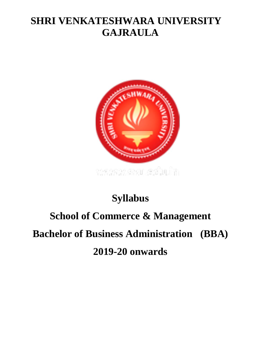## **SHRI VENKATESHWARA UNIVERSITY GAJRAULA**



# **Syllabus**

# **School of Commerce & Management Bachelor of Business Administration (BBA) 2019-20 onwards**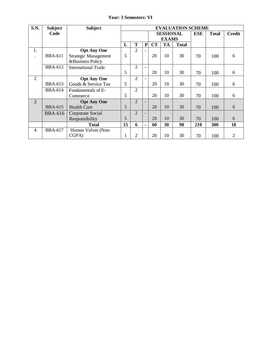|  |  | <b>Year: 3 Semesters: VI</b> |  |
|--|--|------------------------------|--|
|--|--|------------------------------|--|

| S.N.                 | <b>Subject</b> | <b>Subject</b>              |                  |                |                |            | <b>EVALUATION SCHEME</b> |               |     |     |    |  |
|----------------------|----------------|-----------------------------|------------------|----------------|----------------|------------|--------------------------|---------------|-----|-----|----|--|
|                      | Code           |                             | <b>SESSIONAL</b> |                |                | <b>ESE</b> | <b>Total</b>             | <b>Credit</b> |     |     |    |  |
|                      |                |                             | <b>EXAMS</b>     |                |                |            |                          |               |     |     |    |  |
|                      |                |                             | L                | T              | ${\bf P}$      | CT         | <b>TA</b>                | <b>Total</b>  |     |     |    |  |
| 1.                   |                | <b>Opt Any One</b>          |                  | $\overline{2}$ |                |            |                          |               |     |     |    |  |
| $\ddot{\phantom{a}}$ | <b>BBA-611</b> | <b>Strategic Management</b> | 5                |                |                | 20         | 10                       | 30            | 70  | 100 | 6  |  |
|                      |                | <b>&amp;Business Policy</b> |                  |                |                |            |                          |               |     |     |    |  |
|                      | <b>BBA-612</b> | <b>International Trade</b>  |                  | $\overline{2}$ |                |            |                          |               |     |     |    |  |
|                      |                |                             | 5                |                |                | 20         | 10                       | 30            | 70  | 100 | 6  |  |
| $\overline{2}$       |                | <b>Opt Any One</b>          |                  | $\overline{2}$ |                |            |                          |               |     |     |    |  |
|                      | <b>BBA-613</b> | Goods & Service Tax         | 5                |                |                | 20         | 10                       | 30            | 70  | 100 | 6  |  |
|                      | <b>BBA-614</b> | Fundamentals of E-          |                  | $\overline{2}$ |                |            |                          |               |     |     |    |  |
|                      |                | Commerce                    | 5                |                |                | 20         | 10                       | 30            | 70  | 100 | 6  |  |
| 3                    |                | <b>Opt Any One</b>          |                  | $\overline{2}$ |                |            |                          |               |     |     |    |  |
|                      | <b>BBA-615</b> | <b>Health Care</b>          | 5                |                |                | 20         | 10                       | 30            | 70  | 100 | 6  |  |
|                      | <b>BBA-616</b> | Corporate Social            |                  | $\overline{2}$ |                |            |                          |               |     |     |    |  |
|                      |                | Responsibility              | 5                |                |                | 20         | 10                       | 30            | 70  | 100 | 6  |  |
|                      |                | <b>Total</b>                | 15               | 6              | $\blacksquare$ | 60         | 30                       | 90            | 210 | 300 | 18 |  |
| $\overline{4}$       | <b>BBA-617</b> | Human Valves (Non-          |                  |                |                |            |                          |               |     |     |    |  |
|                      |                | CGPA)                       | 1                | $\overline{2}$ |                | 20         | 10                       | 30            | 70  | 100 | 2  |  |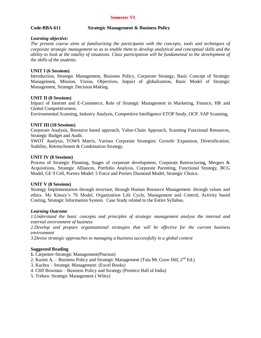### **Semester VI**

### **Code-BBA-611 Strategic Management & Business Policy**

### *Learning objective:*

*The present course aims at familiarizing the participants with the concepts, tools and techniques of corporate strategic management so as to enable them to develop analytical and conceptual skills and the ability to look at the totality of situations. Class participation will be fundamental to the development of the skills of the students*.

### **UNIT I (6 Sessions)**

Introduction, Strategic Management, Business Policy, Corporate Strategy, Basic Concept of Strategic Management, Mission, Vision, Objectives, Impact of globalization, Basic Model of Strategic Management, Strategic Decision Making.

### **UNIT II (8 Sessions)**

Impact of Internet and E-Commerce, Role of Strategic Management in Marketing, Finance, HR and Global Competitiveness.

Environmental Scanning, Industry Analysis, Competitive Intelligence ETOP Study, OCP, SAP Scanning,

### **UNIT III (10 Sessions)**

Corporate Analysis, Resource based approach, Value-Chain Approach, Scanning Functional Resources, Strategic Budget and Audit.

SWOT Analysis, TOWS Matrix, Various Corporate Strategies: Growth/ Expansion, Diversification, Stability, Retrenchment & Combination Strategy.

### **UNIT IV (8 Sessions)**

Process of Strategic Planning, Stages of corporate development, Corporate Restructuring, Mergers & Acquisitions, Strategic Alliances, Portfolio Analysis, Corporate Parenting, Functional Strategy, BCG Model, GE 9 Cell, Porters Model: 5 Force and Porters Diamond Model, Strategic Choice.

### **UNIT V (8 Sessions)**

Strategy Implementation through structure, through Human Resource Management: through values and ethics. Mc Kinsey's 7S Model, Organization Life Cycle, Management and Control, Activity based Costing, Strategic Information System. Case Study related to the Entire Syllabus.

### *Learning Outcome*

*1.Understand the basic concepts and principles of strategic management analyse the internal and external environment of business*

*2.Develop and prepare organizational strategies that will be effective for the current business environment* 

*3.Devise strategic approaches to managing a business successfully in a global context*

### **Suggested Reading**

- **1.** Carpenter-Strategic Management(Pearson)
- 2. Kazmi A. Business Policy and Strategic Management (Tata Mc Graw Hill,  $2<sup>nd</sup> Ed.$ )
- 3. Kachru Strategic Management: (Excel Books)
- 4. Cliff Bowman Business Policy and Strategy (Prentice Hall of India)
- 5. Trehan- Strategic Management ( Wiley)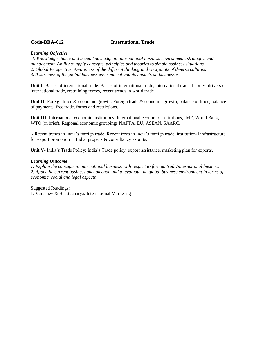### **Code-BBA-612 International Trade**

### *Learning Objective*

*1. Knowledge: Basic and broad knowledge in international business environment, strategies and management. Ability to apply concepts, principles and theories to simple business situations. 2. Global Perspective: Awareness of the different thinking and viewpoints of diverse cultures. 3. Awareness of the global business environment and its impacts on businesses.*

**Unit I-** Basics of international trade: Basics of international trade, international trade theories, drivers of international trade, restraining forces, recent trends in world trade.

**Unit II-** Foreign trade & economic growth: Foreign trade & economic growth, balance of trade, balance of payments, free trade, forms and restrictions.

**Unit III-** International economic institutions: International economic institutions, IMF, World Bank, WTO (in brief), Regional economic groupings NAFTA, EU, ASEAN, SAARC.

- Recent trends in India's foreign trade: Recent treds in India's foreign trade, institutional infrastructure for export promotion in India, projects & consultancy exports.

**Unit V-** India's Trade Policy: India's Trade policy, export assistance, marketing plan for exports.

### *Learning Outcome*

*1. Explain the concepts in international business with respect to foreign trade/international business 2. Apply the current business phenomenon and to evaluate the global business environment in terms of economic, social and legal aspects*

Suggested Readings:

1. Varshney & Bhattacharya: International Marketing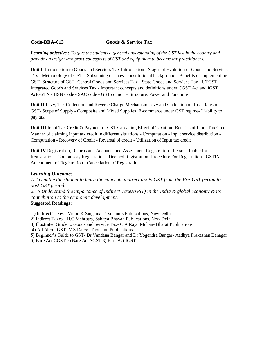### **Code-BBA-613 Goods & Service Tax**

*Learning objective : To give the students a general understanding of the GST law in the country and provide an insight into practical aspects of GST and equip them to become tax practitioners.*

**Unit I** Introduction to Goods and Services Tax Introduction - Stages of Evolution of Goods and Services Tax - Methodology of GST – Subsuming of taxes- constitutional background - Benefits of implementing GST- Structure of GST- Central Goods and Services Tax - State Goods and Services Tax - UTGST - Integrated Goods and Services Tax - Important concepts and definitions under CGST Act and IGST ActGSTN - HSN Code - SAC code - GST council – Structure, Power and Functions.

**Unit II** Levy, Tax Collection and Reverse Charge Mechanism Levy and Collection of Tax -Rates of GST- Scope of Supply - Composite and Mixed Supplies ,E-commerce under GST regime- Liability to pay tax.

**Unit III** Input Tax Credit & Payment of GST Cascading Effect of Taxation- Benefits of Input Tax Credit-Manner of claiming input tax credit in different situations - Computation - Input service distribution - Computation - Recovery of Credit - Reversal of credit - Utilization of Input tax credit

**Unit IV** Registration, Returns and Accounts and Assessment Registration - Persons Liable for Registration - Compulsory Registration - Deemed Registration- Procedure For Registration - GSTIN - Amendment of Registration - Cancellation of Registration

### *Learning Outcomes*

*1.To enable the student to learn the concepts indirect tax & GST from the Pre-GST period to post GST period. 2.To Understand the importance of Indirect Taxes(GST) in the India & global economy & its contribution to the economic development*. **Suggested Readings:**

1) Indirect Taxes - Vinod K Singania,Taxmann's Publications, New Delhi

- 2) Indirect Taxes H.C Mehrotra, Sahitya Bhavan Publications, New Delhi
- 3) Illustrated Guide to Goods and Service Tax- C A Rajat Mohan- Bharat Publications
- 4) All About GST- V S Datey- Taxmann Publications.
- 5) Beginner's Guide to GST- Dr Vandana Bangar and Dr Yogendra Bangar- Aadhya Prakashan Banagar
- 6) Bare Act CGST 7) Bare Act SGST 8) Bare Act IGST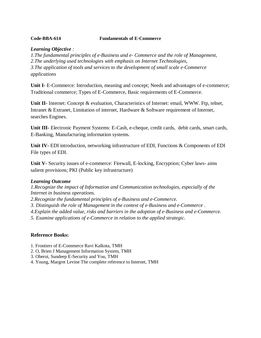### **Code-BBA-614 Fundamentals of E-Commerce**

### *Learning Objective :*

*1.The fundamental principles of e‐Business and e‐ Commerce and the role of Management, 2.The underlying used technologies with emphasis on Internet Technologies, 3.The application of tools and services to the development of small scale e‐Commerce applications*

**Unit I-** E-Commerce: Introduction, meaning and concept; Needs and advantages of e-commerce; Traditional commerce; Types of E-Commerce, Basic requirements of E-Commerce.

**Unit II-** Internet: Concept & evaluation, Characteristics of Internet: email, WWW. Ftp, telnet, Intranet & Extranet, Limitation of internet, Hardware & Software requirement of Internet, searches Engines.

**Unit III-** Electronic Payment Systems: E-Cash, e-cheque, credit cards, debit cards, smart cards, E-Banking, Manufacturing information systems.

**Unit IV-** EDI introduction, networking infrastructure of EDI, Functions & Components of EDI File types of EDI.

**Unit V-** Security issues of e-commerce: Firewall, E-locking, Encryption; Cyber laws- aims salient provisions; PKI (Public key infrastructure)

### *Learning Outcome*

*1.Recognize the impact of Information and Communication technologies, especially of the Internet in business operations.* 

*2.Recognize the fundamental principles of e‐Business and e‐Commerce.* 

*3. Distinguish the role of Management in the context of e‐Business and e‐Commerce .*

*4.Explain the added value, risks and barriers in the adoption of e‐Business and e‐Commerce.* 

*5. Examine applications of e‐Commerce in relation to the applied strategic.*

### **Reference Books:**

- 1. Frontiers of E-Commerce Ravi Kalkota, TMH
- 2. O, Brien J Management Information System, TMH
- 3. Oberoi, Sundeep E-Security and You, TMH
- 4. Young, Margret Levine The complete reference to Internet, TMH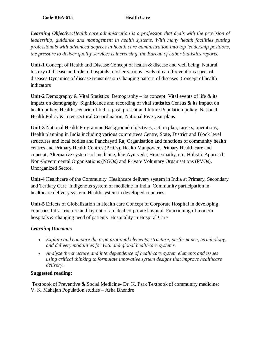### **Code-BBA-615** Health Care

*Learning Objective:Health care administration is a profession that deals with the provision of leadership, guidance and management in health systems. With many health facilities putting professionals with advanced degrees in health care administration into top leadership positions, the pressure to deliver quality services is increasing, the Bureau of Labor Statistics reports.*

**Unit-1** Concept of Health and Disease Concept of health & disease and well being. Natural history of disease and role of hospitals to offer various levels of care Prevention aspect of diseases Dynamics of disease transmission Changing pattern of diseases Concept of health indicators

**Unit-2** Demography & Vital Statistics Demography – its concept Vital events of life & its impact on demography Significance and recording of vital statistics Census & its impact on health policy, Health scenario of India- past, present and future Population policy National Health Policy & Inter-sectoral Co-ordination, National Five year plans

**Unit-3** National Health Programme Background objectives, action plan, targets, operations,. Health planning in India including various committees Centre, State, District and Block level structures and local bodies and Panchayati Raj Organisation and functions of community health centres and Primary Health Centres (PHCs). Health Manpower, Primary Health care and concept, Alternative systems of medicine, like Ayurveda, Homeopathy, etc. Holistic Approach Non-Governmental Organisations (NGOs) and Private Voluntary Organisations (PVOs). Unorganized Sector.

**Unit-4** Healthcare of the Community Healthcare delivery system in India at Primary, Secondary and Tertiary Care Indigenous system of medicine in India Community participation in healthcare delivery system Health system in developed countries.

**Unit-5** Effects of Globalization in Health care Concept of Corporate Hospital in developing countries Infrastructure and lay out of an ideal corporate hospital Functioning of modern hospitals & changing need of patients Hospitality in Hospital Care

### *Learning Outcome:*

- *Explain and compare the organizational elements, structure, performance, terminology, and delivery modalities for U.S. and global healthcare systems.*
- *Analyze the structure and interdependence of healthcare system elements and issues using critical thinking to formulate innovative system designs that improve healthcare delivery.*

### **Suggested reading:**

Textbook of Preventive & Social Medicine- Dr. K. Park Textbook of community medicine: V. K. Mahajan Population studies – Asha Bhendre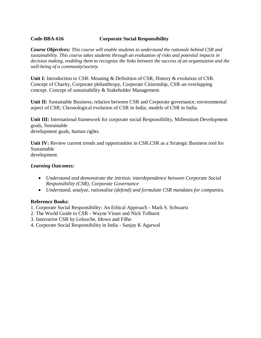### **Code-BBA-616 Corporate Social Responsibility**

*Course Objectives: This course will enable students to understand the rationale behind CSR and sustainability. This course takes students through an evaluation of risks and potential impacts in decision making, enabling them to recognize the links between the success of an organization and the well-being of a community/society.*

**Unit I:** Introduction to CSR: Meaning & Definition of CSR, History & evolution of CSR. Concept of Charity, Corporate philanthropy, Corporate Citizenship, CSR-an overlapping concept. Concept of sustainability & Stakeholder Management.

**Unit II:** Sustainable Business; relation between CSR and Corporate governance; environmental aspect of CSR; Chronological evolution of CSR in India; models of CSR in India.

**Unit III:** International framework for corporate social Responsibility, Millennium Development goals, Sustainable development goals, human rights.

**Unit IV:** Review current trends and opportunities in CSR.CSR as a Strategic Business tool for Sustainable development.

### *Learning Outcomes:*

- *Understand and demonstrate the intrinsic interdependence between Corporate Social Responsibility (CSR), Corporate Governance*
- *Understand, analyze, rationalize (defend) and formulate CSR mandates for companies.*

### **Reference Books:**

- 1. Corporate Social Responsibility: An Ethical Approach Mark S. Schwartz
- 2. The World Guide to CSR Wayne Visser and Nick Tolhurst
- 3. Innovative CSR by Lelouche, Idowu and Filho
- 4. Corporate Social Responsibility in India Sanjay K Agarwal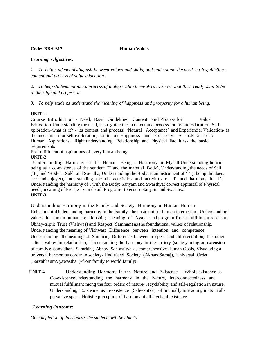### **Code:-BBA-617 Human Values**

### *Learning Objectives:*

*1. To help students distinguish between values and skills, and understand the need, basic guidelines, content and process of value education.*

*2. To help students initiate a process of dialog within themselves to know what they 'really want to be' in their life and profession*

*3. To help students understand the meaning of happiness and prosperity for a human being.*

### **UNIT-1**

Course Introduction - Need, Basic Guidelines, Content and Process for Value Education Understanding the need, basic guidelines, content and process for Value Education, Selfxploration–what is it? - its content and process; 'Natural Acceptance' and Experiential Validation- as the mechanism for self exploration, continuous Happiness and Prosperity- A look at basic Human Aspirations, Right understanding, Relationship and Physical Facilities- the basic requirements

For fulfillment of aspirations of every human being

### **UNIT-2**

Understanding Harmony in the Human Being - Harmony in Myself Understanding human being as a co-existence of the sentient 'I' and the material 'Body', Understanding the needs of Self ('I') and 'Body' - Sukh and Suvidha, Understanding the Body as an instrument of 'I' (I being the doer, seer and enjoyer), Understanding the characteristics and activities of 'I' and harmony in 'I', Understanding the harmony of I with the Body: Sanyam and Swasthya; correct appraisal of Physical needs, meaning of Prosperity in detail Programs to ensure Sanyam and Swasthya. **UNIT-3** 

Understanding Harmony in the Family and Society- Harmony in Human-Human

RelationshipUnderstanding harmony in the Family- the basic unit of human interaction , Understanding values in human-human relationship; meaning of Nyaya and program for its fulfillment to ensure Ubhay-tripti; Trust (Vishwas) and Respect (Samman) as the foundational values of relationship, Understanding the meaning of Vishwas; Difference between intention and competence, Understanding themeaning of Samman, Difference between respect and differentiation; the other salient values in relationship, Understanding the harmony in the society (society being an extension of family): Samadhan, Samridhi, Abhay, Sah-astitva as comprehensive Human Goals, Visualizing a universal harmonious order in society- Undivided Society (AkhandSamaj), Universal Order (SarvabhaumVyawastha )-from family to world family!.

 **UNIT-4** Understanding Harmony in the Nature and Existence - Whole existence as Co-existenceUnderstanding the harmony in the Nature, Interconnectedness and mutual fulfillment mong the four orders of nature- recyclability and self-regulation in nature, Understanding Existence as o-existence (Sah-astitva) of mutually interacting units in allpervasive space, Holistic perception of harmony at all levels of existence.

### *Learning Outcome:*

*On completion of this course, the students will be able to*